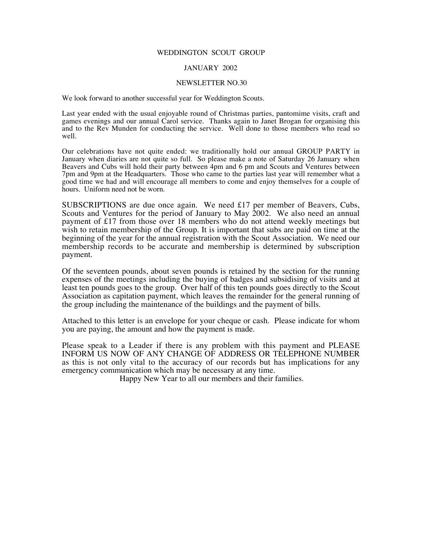#### WEDDINGTON SCOUT GROUP

### JANUARY 2002

#### NEWSLETTER NO.30

We look forward to another successful year for Weddington Scouts.

Last year ended with the usual enjoyable round of Christmas parties, pantomime visits, craft and games evenings and our annual Carol service. Thanks again to Janet Brogan for organising this and to the Rev Munden for conducting the service. Well done to those members who read so well.

Our celebrations have not quite ended: we traditionally hold our annual GROUP PARTY in January when diaries are not quite so full. So please make a note of Saturday 26 January when Beavers and Cubs will hold their party between 4pm and 6 pm and Scouts and Ventures between 7pm and 9pm at the Headquarters. Those who came to the parties last year will remember what a good time we had and will encourage all members to come and enjoy themselves for a couple of hours. Uniform need not be worn.

SUBSCRIPTIONS are due once again. We need £17 per member of Beavers, Cubs, Scouts and Ventures for the period of January to May 2002. We also need an annual payment of £17 from those over 18 members who do not attend weekly meetings but wish to retain membership of the Group. It is important that subs are paid on time at the beginning of the year for the annual registration with the Scout Association. We need our membership records to be accurate and membership is determined by subscription payment.

Of the seventeen pounds, about seven pounds is retained by the section for the running expenses of the meetings including the buying of badges and subsidising of visits and at least ten pounds goes to the group. Over half of this ten pounds goes directly to the Scout Association as capitation payment, which leaves the remainder for the general running of the group including the maintenance of the buildings and the payment of bills.

Attached to this letter is an envelope for your cheque or cash. Please indicate for whom you are paying, the amount and how the payment is made.

Please speak to a Leader if there is any problem with this payment and PLEASE INFORM US NOW OF ANY CHANGE OF ADDRESS OR TELEPHONE NUMBER as this is not only vital to the accuracy of our records but has implications for any emergency communication which may be necessary at any time.

Happy New Year to all our members and their families.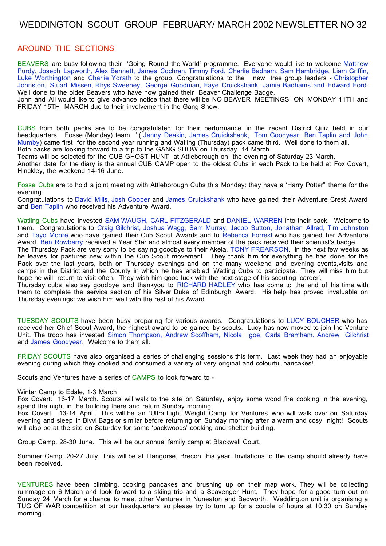# WEDDINGTON SCOUT GROUP FEBRUARY/ MARCH 2002 NEWSLETTER NO 32

### AROUND THE SECTIONS

BEAVERS are busy following their 'Going Round the World' programme. Everyone would like to welcome Matthew Purdy, Joseph Lapworth, Alex Bennett, James Cochran, Timmy Ford, Charlie Badham, Sam Hambridge, Liam Griffin, Luke Worthington and Charlie Yorath to the group. Congratulations to the new tree group leaders - Christopher Johnston, Stuart Missen, Rhys Sweeney, George Goodman, Faye Cruickshank, Jamie Badhams and Edward Ford. Well done to the older Beavers who have now gained their Beaver Challenge Badge.

John and Ali would like to give advance notice that there will be NO BEAVER MEETINGS ON MONDAY 11TH and FRIDAY 15TH MARCH due to their involvement in the Gang Show.

CUBS from both packs are to be congratulated for their performance in the recent District Quiz held in our headquarters. Fosse (Monday) team '.( Jenny Deakin, James Cruickshank, Tom Goodyear, Ben Taplin and John Mumby) came first for the second year running and Watling (Thursday) pack came third. Well done to them all. Both packs are looking forward to a trip to the GANG SHOW on Thursday 14 March.

Teams will be selected for the CUB GHOST HUNT at Attleborough on the evening of Saturday 23 March.

Another date for the diary is the annual CUB CAMP open to the oldest Cubs in each Pack to be held at Fox Covert, Hinckley, the weekend 14-16 June.

Fosse Cubs are to hold a joint meeting with Attleborough Cubs this Monday: they have a 'Harry Potter" theme for the evening.

Congratulations to David Mills, Josh Cooper and James Cruickshank who have gained their Adventure Crest Award and Ben Taplin who received his Adventure Award.

Watling Cubs have invested SAM WAUGH, CARL FITZGERALD and DANIEL WARREN into their pack. Welcome to them. Congratulations to Craig Gilchrist, Joshua Wagg, Sam Murray, Jacob Sutton, Jonathan Allred, Tim Johnston and Tayo Moore who have gained their Cub Scout Awards and to Rebecca Forrest who has gained her Adventure Award. Ben Rowberry received a Year Star and almost every member of the pack received their scientist's badge.

The Thursday Pack are very sorry to be saying goodbye to their Akela, TONY FREARSON, in the next few weeks as he leaves for pastures new within the Cub Scout movement. They thank him for everything he has done for the Pack over the last years, both on Thursday evenings and on the many weekend and evening events,visits and camps in the District and the County in which he has enabled Watling Cubs to participate. They will miss him but hope he will return to visit often. They wish him good luck with the next stage of his scouting 'career'.

Thursday cubs also say goodbye and thankyou to RICHARD HADLEY who has come to the end of his time with them to complete the service section of his Silver Duke of Edinburgh Award. His help has proved invaluable on Thursday evenings: we wish him well with the rest of his Award.

TUESDAY SCOUTS have been busy preparing for various awards. Congratulations to LUCY BOUCHER who has received her Chief Scout Award, the highest award to be gained by scouts. Lucy has now moved to join the Venture Unit. The troop has invested Simon Thompson, Andrew Scoffham, Nicola Igoe, Carla Bramham. Andrew Gilchrist and James Goodyear. Welcome to them all.

FRIDAY SCOUTS have also organised a series of challenging sessions this term. Last week they had an enjoyable evening during which they cooked and consumed a variety of very original and colourful pancakes!

Scouts and Ventures have a series of CAMPS to look forward to -

#### Winter Camp to Edale, 1-3 March

Fox Covert. 16-17 March. Scouts will walk to the site on Saturday, enjoy some wood fire cooking in the evening, spend the night in the building there and return Sunday morning.

Fox Covert. 13-14 April. This will be an 'Ultra Light Weight Camp' for Ventures who will walk over on Saturday evening and sleep in Bivvi Bags or similar before returning on Sunday morning after a warm and cosy night! Scouts will also be at the site on Saturday for some 'backwoods' cooking and shelter building.

Group Camp. 28-30 June. This will be our annual family camp at Blackwell Court.

Summer Camp. 20-27 July. This will be at Llangorse, Brecon this year. Invitations to the camp should already have been received.

VENTURES have been climbing, cooking pancakes and brushing up on their map work. They will be collecting rummage on 6 March and look forward to a skiing trip and a Scavenger Hunt. They hope for a good turn out on Sunday 24 March for a chance to meet other Ventures in Nuneaton and Bedworth. Weddington unit is organising a TUG OF WAR competition at our headquarters so please try to turn up for a couple of hours at 10.30 on Sunday morning.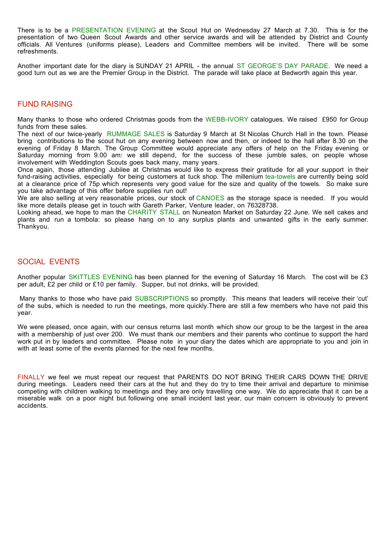There is to be a PRESENTATION EVENING at the Scout Hut on Wednesday 27 March at 7.30. This is for the presentation of two Queen Scout Awards and other service awards and will be attended by District and County officials. All Ventures (uniforms please), Leaders and Committee members will be invited. There will be some refreshments.

Another important date for the diary is SUNDAY 21 APRIL - the annual ST GEORGE'S DAY PARADE. We need a good turn out as we are the Premier Group in the District. The parade will take place at Bedworth again this year.

### FUND RAISING

Many thanks to those who ordered Christmas goods from the WEBB-IVORY catalogues. We raised £950 for Group funds from these sales.

The next of our twice-yearly RUMMAGE SALES is Saturday 9 March at St Nicolas Church Hall in the town. Please bring contributions to the scout hut on any evening between now and then, or indeed to the hall after 8.30 on the evening of Friday 8 March. The Group Committee would appreciate any offers of help on the Friday evening or Saturday morning from 9.00 am: we still depend, for the success of these jumble sales, on people whose involvement with Weddington Scouts goes back many, many years.

Once again, those attending Jubilee at Christmas would like to express their gratitude for all your support in their fund-raising activities, especially for being customers at tuck shop. The millenium tea-towels are currently being sold at a clearance price of 75p which represents very good value for the size and quality of the towels. So make sure you take advantage of this offer before supplies run out!

We are also selling at very reasonable prices, our stock of CANOES as the storage space is needed. If you would like more details please get in touch with Gareth Parker, Venture leader, on 76328738.

Looking ahead, we hope to man the CHARITY STALL on Nuneaton Market on Saturday 22 June. We sell cakes and plants and run a tombola: so please hang on to any surplus plants and unwanted gifts in the early summer. Thankyou.

### SOCIAL EVENTS

Another popular SKITTLES EVENING has been planned for the evening of Saturday 16 March. The cost will be £3 per adult, £2 per child or £10 per family. Supper, but not drinks, will be provided.

Many thanks to those who have paid SUBSCRIPTIONS so promptly. This means that leaders will receive their 'cut' of the subs, which is needed to run the meetings, more quickly.There are still a few members who have not paid this year.

We were pleased, once again, with our census returns last month which show our group to be the largest in the area with a membership of just over 200. We must thank our members and their parents who continue to support the hard work put in by leaders and committee. Please note in your diary the dates which are appropriate to you and join in with at least some of the events planned for the next few months.

FINALLY we feel we must repeat our request that PARENTS DO NOT BRING THEIR CARS DOWN THE DRIVE during meetings. Leaders need their cars at the hut and they do try to time their arrival and departure to minimise competing with children walking to meetings and they are only travelling one way. We do appreciate that it can be a miserable walk on a poor night but following one small incident last year, our main concern is obviously to prevent accidents.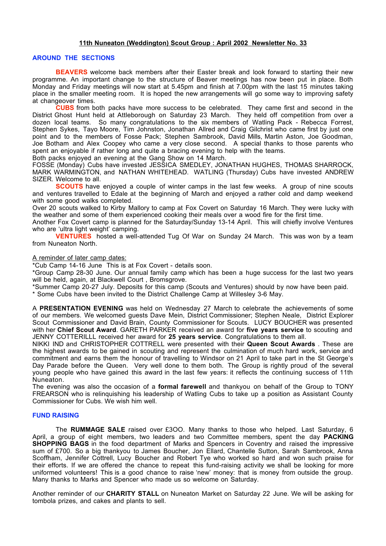### **11th Nuneaton (Weddington) Scout Group : April 2002 Newsletter No. 33**

### **AROUND THE SECTIONS**

**BEAVERS** welcome back members after their Easter break and look forward to starting their new programme. An important change to the structure of Beaver meetings has now been put in place. Both Monday and Friday meetings will now start at 5.45pm and finish at 7.00pm with the last 15 minutes taking place in the smaller meeting room. It is hoped the new arrangements will go some way to improving safety at changeover times.

**CUBS** from both packs have more success to be celebrated. They came first and second in the District Ghost Hunt held at Attleborough on Saturday 23 March. They held off competition from over a dozen local teams. So many congratulations to the six members of Watling Pack - Rebecca Forrest, Stephen Sykes, Tayo Moore, Tim Johnston, Jonathan Allred and Craig Gilchrist who came first by just one point and to the members of Fosse Pack; Stephen Sambrook, David Mills, Martin Aston, Joe Goodman, Joe Botham and Alex Coopey who came a very close second. A special thanks to those parents who spent an enjoyable if rather long and quite a bracing evening to help with the teams. Both packs enjoyed an evening at the Gang Show on 14 March.

FOSSE (Monday) Cubs have invested JESSICA SMEDLEY, JONATHAN HUGHES, THOMAS SHARROCK, MARK WARMINGTON, and NATHAN WHITEHEAD. WATLING (Thursday) Cubs have invested ANDREW SIZER. Welcome to all.

**SCOUTS** have enjoyed a couple of winter camps in the last few weeks. A group of nine scouts and ventures travelled to Edale at the beginning of March and enjoyed a rather cold and damp weekend with some good walks completed.

Over 20 scouts walked to Kirby Mallory to camp at Fox Covert on Saturday 16 March. They were lucky with the weather and some of them experienced cooking their meals over a wood fire for the first time. Another Fox Covert camp is planned for the Saturday/Sunday 13-14 April. This will chiefly involve Ventures

who are 'ultra light weight' camping.

**VENTURES** hosted a well-attended Tug Of War on Sunday 24 March. This was won by a team from Nuneaton North.

### A reminder of later camp dates:

\*Cub Camp 14-16 June This is at Fox Covert - details soon.

\*Group Camp 28-30 June. Our annual family camp which has been a huge success for the last two years will be held, again, at Blackwell Court , Bromsgrove.

\*Summer Camp 20-27 July. Deposits for this camp (Scouts and Ventures) should by now have been paid.

\* Some Cubs have been invited to the District Challenge Camp at Willesley 3-6 May.

A **PRESENTATION EVENING** was held on Wednesday 27 March to celebrate the achievements of some of our members. We welcomed guests Dave Mein, District Commissioner; Stephen Neale, District Explorer Scout Commissioner and David Brain, County Commissioner for Scouts. LUCY BOUCHER was presented with her **Chief Scout Award**. GARETH PARKER received an award for **five years service** to scouting and JENNY COTTERILLL received her award for **25 years service**. Congratulations to them all.

NIKKI IND and CHRISTOPHER COTTRELL were presented with their **Queen Scout Awards** . These are the highest awards to be gained in scouting and represent the culmination of much hard work, service and commitment and earns them the honour of travelling to Windsor on 21 April to take part in the St George's Day Parade before the Queen. Very well done to them both. The Group is rightly proud of the several young people who have gained this award in the last few years: it reflects the continuing success of 11th Nuneaton.

The evening was also the occasion of a **formal farewell** and thankyou on behalf of the Group to TONY FREARSON who is relinquishing his leadership of Watling Cubs to take up a position as Assistant County Commissioner for Cubs. We wish him well.

### **FUND RAISING**

The **RUMMAGE SALE** raised over £3OO. Many thanks to those who helped. Last Saturday, 6 April, a group of eight members, two leaders and two Committee members, spent the day **PACKING SHOPPING BAGS** in the food department of Marks and Spencers in Coventry and raised the impressive sum of £700. So a big thankyou to James Boucher, Jon Ellard, Chantelle Sutton, Sarah Sambrook, Anna Scoffham, Jennifer Cottrell, Lucy Boucher and Robert Tye who worked so hard and won such praise for their efforts. If we are offered the chance to repeat this fund-raising activity we shall be looking for more uniformed volunteers! This is a good chance to raise 'new' money: that is money from outside the group. Many thanks to Marks and Spencer who made us so welcome on Saturday.

Another reminder of our **CHARITY STALL** on Nuneaton Market on Saturday 22 June. We will be asking for tombola prizes, and cakes and plants to sell.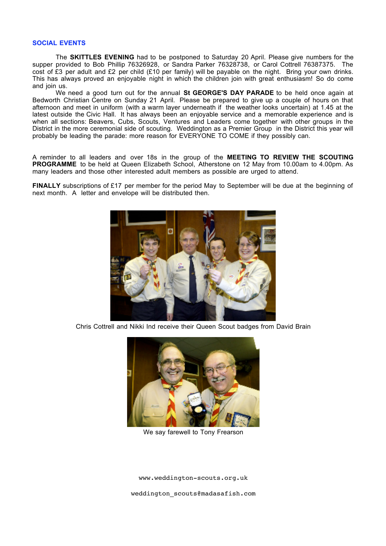#### **SOCIAL EVENTS**

The **SKITTLES EVENING** had to be postponed to Saturday 20 April. Please give numbers for the supper provided to Bob Phillip 76326928, or Sandra Parker 76328738, or Carol Cottrell 76387375. The cost of £3 per adult and £2 per child (£10 per family) will be payable on the night. Bring your own drinks. This has always proved an enjoyable night in which the children join with great enthusiasm! So do come and join us.

We need a good turn out for the annual **St GEORGE'S DAY PARADE** to be held once again at Bedworth Christian Centre on Sunday 21 April. Please be prepared to give up a couple of hours on that afternoon and meet in uniform (with a warm layer underneath if the weather looks uncertain) at 1.45 at the latest outside the Civic Hall. It has always been an enjoyable service and a memorable experience and is when all sections: Beavers, Cubs, Scouts, Ventures and Leaders come together with other groups in the District in the more ceremonial side of scouting. Weddington as a Premier Group in the District this year will probably be leading the parade: more reason for EVERYONE TO COME if they possibly can.

A reminder to all leaders and over 18s in the group of the **MEETING TO REVIEW THE SCOUTING** PROGRAMME to be held at Queen Elizabeth School, Atherstone on 12 May from 10.00am to 4.00pm. As many leaders and those other interested adult members as possible are urged to attend.

**FINALLY** subscriptions of £17 per member for the period May to September will be due at the beginning of next month. A letter and envelope will be distributed then.



Chris Cottrell and Nikki Ind receive their Queen Scout badges from David Brain



We say farewell to Tony Frearson

www.weddington-scouts.org.uk

weddington\_scouts@madasafish.com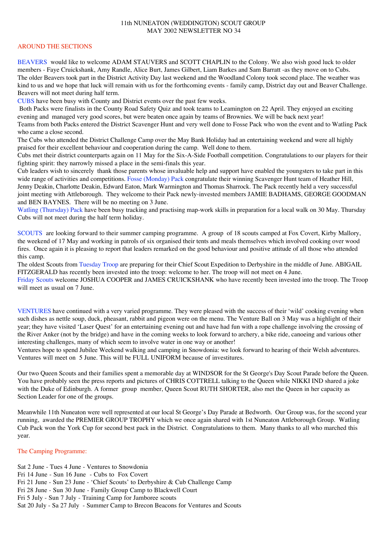### 11th NUNEATON (WEDDINGTON) SCOUT GROUP MAY 2002 NEWSLETTER NO 34

### AROUND THE SECTIONS

BEAVERS would like to welcome ADAM STAUVERS and SCOTT CHAPLIN to the Colony. We also wish good luck to older members - Faye Cruickshank, Amy Randle, Alice Burt, James Gilbert, Liam Barkes and Sam Barratt -as they move on to Cubs. The older Beavers took part in the District Activity Day last weekend and the Woodland Colony took second place. The weather was kind to us and we hope that luck will remain with us for the forthcoming events - family camp, District day out and Beaver Challenge. Beavers will not meet during half term.

CUBS have been busy with County and District events over the past few weeks.

Both Packs were finalists in the County Road Safety Quiz and took teams to Leamington on 22 April. They enjoyed an exciting evening and managed very good scores, but were beaten once again by teams of Brownies. We will be back next year! Teams from both Packs entered the District Scavenger Hunt and very well done to Fosse Pack who won the event and to Watling Pack who came a close second.

The Cubs who attended the District Challenge Camp over the May Bank Holiday had an entertaining weekend and were all highly praised for their excellent behaviour and cooperation during the camp. Well done to them.

Cubs met their district counterparts again on 11 May for the Six-A-Side Football competition. Congratulations to our players for their fighting spirit: they narrowly missed a place in the semi-finals this year.

Cub leaders wish to sincerely thank those parents whose invaluable help and support have enabled the youngsters to take part in this wide range of activities and competitions. Fosse (Monday) Pack congratulate their winning Scavenger Hunt team of Heather Hill, Jenny Deakin, Charlotte Deakin, Edward Eaton, Mark Warmington and Thomas Sharrock. The Pack recently held a very successful joint meeting with Attleborough. They welcome to their Pack newly-invested members JAMIE BADHAMS, GEORGE GOODMAN and BEN BAYNES. There will be no meeting on 3 June.

Watling (Thursday) Pack have been busy tracking and practising map-work skills in preparation for a local walk on 30 May. Thursday Cubs will not meet during the half term holiday.

SCOUTS are looking forward to their summer camping programme. A group of 18 scouts camped at Fox Covert, Kirby Mallory, the weekend of 17 May and working in patrols of six organised their tents and meals themselves which involved cooking over wood fires. Once again it is pleasing to report that leaders remarked on the good behaviour and positive attitude of all those who attended this camp.

The oldest Scouts from Tuesday Troop are preparing for their Chief Scout Expedition to Derbyshire in the middle of June. ABIGAIL FITZGERALD has recently been invested into the troop: welcome to her. The troop will not meet on 4 June.

Friday Scouts welcome JOSHUA COOPER and JAMES CRUICKSHANK who have recently been invested into the troop. The Troop will meet as usual on 7 June.

VENTURES have continued with a very varied programme. They were pleased with the success of their 'wild' cooking evening when such dishes as nettle soup, duck, pheasant, rabbit and pigeon were on the menu. The Venture Ball on 3 May was a highlight of their year; they have visited 'Laser Quest' for an entertaining evening out and have had fun with a rope challenge involving the crossing of the River Anker (not by the bridge) and have in the coming weeks to look forward to archery, a bike ride, canoeing and various other interesting challenges, many of which seem to involve water in one way or another!

Ventures hope to spend Jubilee Weekend walking and camping in Snowdonia: we look forward to hearing of their Welsh adventures. Ventures will meet on 5 June. This will be FULL UNIFORM because of investitures.

Our two Queen Scouts and their families spent a memorable day at WINDSOR for the St George's Day Scout Parade before the Queen. You have probably seen the press reports and pictures of CHRIS COTTRELL talking to the Queen while NIKKI IND shared a joke with the Duke of Edinburgh. A former group member, Queen Scout RUTH SHORTER, also met the Queen in her capacity as Section Leader for one of the groups.

Meanwhile 11th Nuneaton were well represented at our local St George's Day Parade at Bedworth. Our Group was, for the second year running, awarded the PREMIER GROUP TROPHY which we once again shared with 1st Nuneaton Attleborough Group. Watling Cub Pack won the York Cup for second best pack in the District. Congratulations to them. Many thanks to all who marched this year.

### The Camping Programme:

Sat 2 June - Tues 4 June - Ventures to Snowdonia Fri 14 June - Sun 16 June - Cubs to Fox Covert Fri 21 June - Sun 23 June - 'Chief Scouts' to Derbyshire & Cub Challenge Camp Fri 28 June - Sun 30 June - Family Group Camp to Blackwell Court Fri 5 July - Sun 7 July - Training Camp for Jamboree scouts Sat 20 July - Sa 27 July - Summer Camp to Brecon Beacons for Ventures and Scouts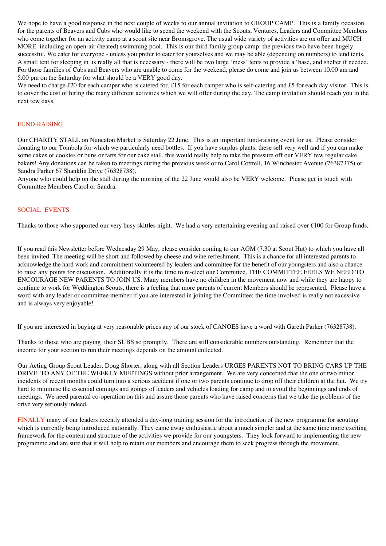We hope to have a good response in the next couple of weeks to our annual invitation to GROUP CAMP. This is a family occasion for the parents of Beavers and Cubs who would like to spend the weekend with the Scouts, Ventures, Leaders and Committee Members who come together for an activity camp at a scout site near Bromsgrove. The usual wide variety of activities are on offer and MUCH MORE including an open-air (heated) swimming pool. This is our third family group camp: the previous two have been hugely successful. We cater for everyone - unless you prefer to cater for yourselves and we may be able (depending on numbers) to lend tents. A small tent for sleeping in is really all that is necessary - there will be two large 'mess' tents to provide a 'base, and shelter if needed. For those families of Cubs and Beavers who are unable to come for the weekend, please do come and join us between 10.00 am and 5.00 pm on the Saturday for what should be a VERY good day.

We need to charge £20 for each camper who is catered for, £15 for each camper who is self-catering and £5 for each day visitor. This is to cover the cost of hiring the many different activities which we will offer during the day. The camp invitation should reach you in the next few days.

### FUND-RAISING

Our CHARITY STALL on Nuneaton Market is Saturday 22 June. This is an important fund-raising event for us. Please consider donating to our Tombola for which we particularly need bottles. If you have surplus plants, these sell very well and if you can make some cakes or cookies or buns or tarts for our cake stall, this would really help to take the pressure off our VERY few regular cake bakers! Any donations can be taken to meetings during the previous week or to Carol Cottrell, 16 Winchester Avenue (76387375) or Sandra Parker 67 Shanklin Drive (76328738).

Anyone who could help on the stall during the morning of the 22 June would also be VERY welcome. Please get in touch with Committee Members Carol or Sandra.

### SOCIAL EVENTS

Thanks to those who supported our very busy skittles night. We had a very entertaining evening and raised over £100 for Group funds.

If you read this Newsletter before Wednesday 29 May, please consider coming to our AGM (7.30 at Scout Hut) to which you have all been invited. The meeting will be short and followed by cheese and wine refreshment. This is a chance for all interested parents to acknowledge the hard work and commitment volunteered by leaders and committee for the benefit of our youngsters and also a chance to raise any points for discussion. Additionally it is the time to re-elect our Committee. THE COMMITTEE FEELS WE NEED TO ENCOURAGE NEW PARENTS TO JOIN US. Many members have no children in the movement now and while they are happy to continue to work for Weddington Scouts, there is a feeling that more parents of current Members should be represented. Please have a word with any leader or committee member if you are interested in joining the Committee: the time involved is really not excessive and is always very enjoyable!

If you are interested in buying at very reasonable prices any of our stock of CANOES have a word with Gareth Parker (76328738).

Thanks to those who are paying their SUBS so promptly. There are still considerable numbers outstanding. Remember that the income for your section to run their meetings depends on the amount collected.

Our Acting Group Scout Leader, Doug Shorter, along with all Section Leaders URGES PARENTS NOT TO BRING CARS UP THE DRIVE TO ANY OF THE WEEKLY MEETINGS without prior arrangement. We are very concerned that the one or two minor incidents of recent months could turn into a serious accident if one or two parents continue to drop off their children at the hut. We try hard to minimise the essential comings and goings of leaders and vehicles loading for camp and to avoid the beginnings and ends of meetings. We need parental co-operation on this and assure those parents who have raised concerns that we take the problems of the drive very seriously indeed.

FINALLY many of our leaders recently attended a day-long training session for the introduction of the new programme for scouting which is currently being introduced nationally. They came away enthusiastic about a much simpler and at the same time more exciting framework for the content and structure of the activities we provide for our youngsters. They look forward to implementing the new programme and are sure that it will help to retain our members and encourage them to seek progress through the movement.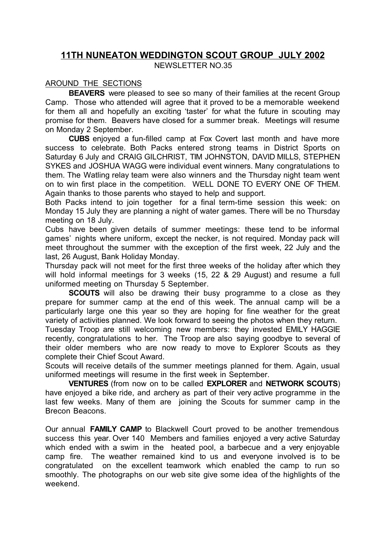## **11TH NUNEATON WEDDINGTON SCOUT GROUP JULY 2002** NEWSLETTER NO.35

## AROUND THE SECTIONS

**BEAVERS** were pleased to see so many of their families at the recent Group Camp. Those who attended will agree that it proved to be a memorable weekend for them all and hopefully an exciting 'taster' for what the future in scouting may promise for them. Beavers have closed for a summer break. Meetings will resume on Monday 2 September.

**CUBS** enjoyed a fun-filled camp at Fox Covert last month and have more success to celebrate. Both Packs entered strong teams in District Sports on Saturday 6 July and CRAIG GILCHRIST, TIM JOHNSTON, DAVID MILLS, STEPHEN SYKES and JOSHUA WAGG were individual event winners. Many congratulations to them. The Watling relay team were also winners and the Thursday night team went on to win first place in the competition. WELL DONE TO EVERY ONE OF THEM. Again thanks to those parents who stayed to help and support.

Both Packs intend to join together for a final term-time session this week: on Monday 15 July they are planning a night of water games. There will be no Thursday meeting on 18 July.

Cubs have been given details of summer meetings: these tend to be informal games' nights where uniform, except the necker, is not required. Monday pack will meet throughout the summer with the exception of the first week, 22 July and the last, 26 August, Bank Holiday Monday.

Thursday pack will not meet for the first three weeks of the holiday after which they will hold informal meetings for 3 weeks (15, 22 & 29 August) and resume a full uniformed meeting on Thursday 5 September.

**SCOUTS** will also be drawing their busy programme to a close as they prepare for summer camp at the end of this week. The annual camp will be a particularly large one this year so they are hoping for fine weather for the great variety of activities planned. We look forward to seeing the photos when they return.

Tuesday Troop are still welcoming new members: they invested EMILY HAGGIE recently, congratulations to her. The Troop are also saying goodbye to several of their older members who are now ready to move to Explorer Scouts as they complete their Chief Scout Award.

Scouts will receive details of the summer meetings planned for them. Again, usual uniformed meetings will resume in the first week in September.

**VENTURES** (from now on to be called **EXPLORER** and **NETWORK SCOUTS**) have enjoyed a bike ride, and archery as part of their very active programme in the last few weeks. Many of them are joining the Scouts for summer camp in the Brecon Beacons.

Our annual **FAMILY CAMP** to Blackwell Court proved to be another tremendous success this year. Over 140 Members and families enjoyed a very active Saturday which ended with a swim in the heated pool, a barbecue and a very enjoyable camp fire. The weather remained kind to us and everyone involved is to be congratulated on the excellent teamwork which enabled the camp to run so smoothly. The photographs on our web site give some idea of the highlights of the weekend.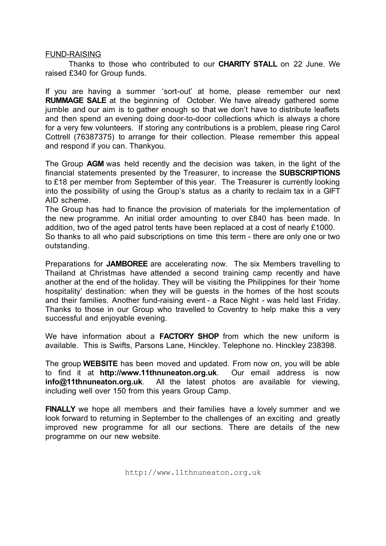### FUND-RAISING

Thanks to those who contributed to our **CHARITY STALL** on 22 June. We raised £340 for Group funds.

If you are having a summer 'sort-out' at home, please remember our next **RUMMAGE SALE** at the beginning of October. We have already gathered some jumble and our aim is to gather enough so that we don't have to distribute leaflets and then spend an evening doing door-to-door collections which is always a chore for a very few volunteers. If storing any contributions is a problem, please ring Carol Cottrell (76387375) to arrange for their collection. Please remember this appeal and respond if you can. Thankyou.

The Group **AGM** was held recently and the decision was taken, in the light of the financial statements presented by the Treasurer, to increase the **SUBSCRIPTIONS** to £18 per member from September of this year. The Treasurer is currently looking into the possibility of using the Group's status as a charity to reclaim tax in a GIFT AID scheme.

The Group has had to finance the provision of materials for the implementation of the new programme. An initial order amounting to over £840 has been made. In addition, two of the aged patrol tents have been replaced at a cost of nearly £1000. So thanks to all who paid subscriptions on time this term - there are only one or two outstanding.

Preparations for **JAMBOREE** are accelerating now. The six Members travelling to Thailand at Christmas have attended a second training camp recently and have another at the end of the holiday. They will be visiting the Philippines for their 'home hospitality' destination: when they will be guests in the homes of the host scouts and their families. Another fund-raising event - a Race Night - was held last Friday. Thanks to those in our Group who travelled to Coventry to help make this a very successful and enjoyable evening.

We have information about a **FACTORY SHOP** from which the new uniform is available. This is Swifts, Parsons Lane, Hinckley. Telephone no. Hinckley 238398.

The group **WEBSITE** has been moved and updated. From now on, you will be able to find it at **http://www.11thnuneaton.org.uk**. Our email address is now **info@11thnuneaton.org.uk**. All the latest photos are available for viewing, including well over 150 from this years Group Camp.

**FINALLY** we hope all members and their families have a lovely summer and we look forward to returning in September to the challenges of an exciting and greatly improved new programme for all our sections. There are details of the new programme on our new website.

http://www.11thnuneaton.org.uk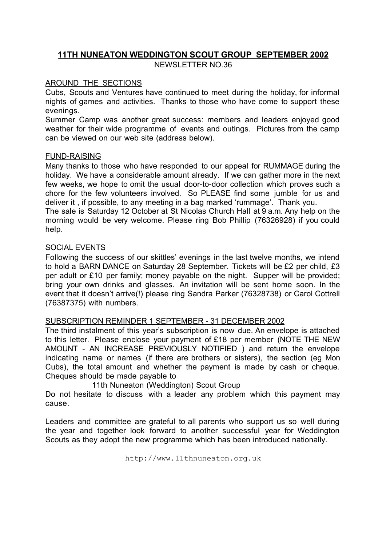## **11TH NUNEATON WEDDINGTON SCOUT GROUP SEPTEMBER 2002** NEWSLETTER NO.36

## AROUND THE SECTIONS

Cubs, Scouts and Ventures have continued to meet during the holiday, for informal nights of games and activities. Thanks to those who have come to support these evenings.

Summer Camp was another great success: members and leaders enjoyed good weather for their wide programme of events and outings. Pictures from the camp can be viewed on our web site (address below).

## FUND-RAISING

Many thanks to those who have responded to our appeal for RUMMAGE during the holiday. We have a considerable amount already. If we can gather more in the next few weeks, we hope to omit the usual door-to-door collection which proves such a chore for the few volunteers involved. So PLEASE find some jumble for us and deliver it , if possible, to any meeting in a bag marked 'rummage'. Thank you.

The sale is Saturday 12 October at St Nicolas Church Hall at 9 a.m. Any help on the morning would be very welcome. Please ring Bob Phillip (76326928) if you could help.

## SOCIAL EVENTS

Following the success of our skittles' evenings in the last twelve months, we intend to hold a BARN DANCE on Saturday 28 September. Tickets will be £2 per child, £3 per adult or £10 per family; money payable on the night. Supper will be provided; bring your own drinks and glasses. An invitation will be sent home soon. In the event that it doesn't arrive(!) please ring Sandra Parker (76328738) or Carol Cottrell (76387375) with numbers.

## SUBSCRIPTION REMINDER 1 SEPTEMBER - 31 DECEMBER 2002

The third instalment of this year's subscription is now due. An envelope is attached to this letter. Please enclose your payment of £18 per member (NOTE THE NEW AMOUNT - AN INCREASE PREVIOUSLY NOTIFIED ) and return the envelope indicating name or names (if there are brothers or sisters), the section (eg Mon Cubs), the total amount and whether the payment is made by cash or cheque. Cheques should be made payable to

### 11th Nuneaton (Weddington) Scout Group

Do not hesitate to discuss with a leader any problem which this payment may cause.

Leaders and committee are grateful to all parents who support us so well during the year and together look forward to another successful year for Weddington Scouts as they adopt the new programme which has been introduced nationally.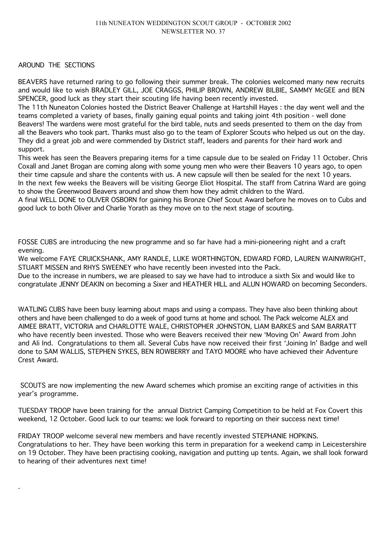### AROUND THE SECTIONS

.

BEAVERS have returned raring to go following their summer break. The colonies welcomed many new recruits and would like to wish BRADLEY GILL, JOE CRAGGS, PHILIP BROWN, ANDREW BILBIE, SAMMY McGEE and BEN SPENCER, good luck as they start their scouting life having been recently invested.

The 11th Nuneaton Colonies hosted the District Beaver Challenge at Hartshill Hayes : the day went well and the teams completed a variety of bases, finally gaining equal points and taking joint 4th position - well done Beavers! The wardens were most grateful for the bird table, nuts and seeds presented to them on the day from all the Beavers who took part. Thanks must also go to the team of Explorer Scouts who helped us out on the day. They did a great job and were commended by District staff, leaders and parents for their hard work and support.

This week has seen the Beavers preparing items for a time capsule due to be sealed on Friday 11 October. Chris Coxall and Janet Brogan are coming along with some young men who were their Beavers 10 years ago, to open their time capsule and share the contents with us. A new capsule will then be sealed for the next 10 years. In the next few weeks the Beavers will be visiting George Eliot Hospital. The staff from Catrina Ward are going to show the Greenwood Beavers around and show them how they admit children to the Ward.

A final WELL DONE to OLIVER OSBORN for gaining his Bronze Chief Scout Award before he moves on to Cubs and good luck to both Oliver and Charlie Yorath as they move on to the next stage of scouting.

FOSSE CUBS are introducing the new programme and so far have had a mini-pioneering night and a craft evening.

We welcome FAYE CRUICKSHANK, AMY RANDLE, LUKE WORTHINGTON, EDWARD FORD, LAUREN WAINWRIGHT, STUART MISSEN and RHYS SWEENEY who have recently been invested into the Pack.

Due to the increase in numbers, we are pleased to say we have had to introduce a sixth Six and would like to congratulate JENNY DEAKIN on becoming a Sixer and HEATHER HILL and ALUN HOWARD on becoming Seconders.

WATLING CUBS have been busy learning about maps and using a compass. They have also been thinking about others and have been challenged to do a week of good turns at home and school. The Pack welcome ALEX and AIMEE BRATT, VICTORIA and CHARLOTTE WALE, CHRISTOPHER JOHNSTON, LIAM BARKES and SAM BARRATT who have recently been invested. Those who were Beavers received their new 'Moving On' Award from John and Ali Ind. Congratulations to them all. Several Cubs have now received their first 'Joining In' Badge and well done to SAM WALLIS, STEPHEN SYKES, BEN ROWBERRY and TAYO MOORE who have achieved their Adventure Crest Award.

SCOUTS are now implementing the new Award schemes which promise an exciting range of activities in this year's programme.

TUESDAY TROOP have been training for the annual District Camping Competition to be held at Fox Covert this weekend, 12 October. Good luck to our teams: we look forward to reporting on their success next time!

FRIDAY TROOP welcome several new members and have recently invested STEPHANIE HOPKINS. Congratulations to her. They have been working this term in preparation for a weekend camp in Leicestershire on 19 October. They have been practising cooking, navigation and putting up tents. Again, we shall look forward to hearing of their adventures next time!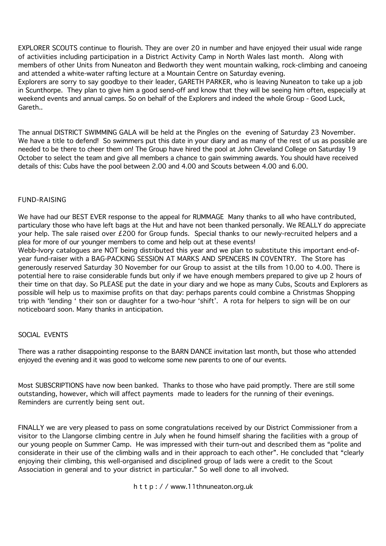EXPLORER SCOUTS continue to flourish. They are over 20 in number and have enjoyed their usual wide range of activiities including participation in a District Activity Camp in North Wales last month. Along with members of other Units from Nuneaton and Bedworth they went mountain walking, rock-climbing and canoeing and attended a white-water rafting lecture at a Mountain Centre on Saturday evening.

Explorers are sorry to say goodbye to their leader, GARETH PARKER, who is leaving Nuneaton to take up a job in Scunthorpe. They plan to give him a good send-off and know that they will be seeing him often, especially at weekend events and annual camps. So on behalf of the Explorers and indeed the whole Group - Good Luck, Gareth..

The annual DISTRICT SWIMMING GALA will be held at the Pingles on the evening of Saturday 23 November. We have a title to defend! So swimmers put this date in your diary and as many of the rest of us as possible are needed to be there to cheer them on! The Group have hired the pool at John Cleveland College on Saturday 19 October to select the team and give all members a chance to gain swimming awards. You should have received details of this: Cubs have the pool between 2.00 and 4.00 and Scouts between 4.00 and 6.00.

## FUND-RAISING

We have had our BEST EVER response to the appeal for RUMMAGE Many thanks to all who have contributed, particulary those who have left bags at the Hut and have not been thanked personally. We REALLY do appreciate your help. The sale raised over £200 for Group funds. Special thanks to our newly-recruited helpers and a plea for more of our younger members to come and help out at these events!

Webb-Ivory catalogues are NOT being distributed this year and we plan to substitute this important end-ofyear fund-raiser with a BAG-PACKING SESSION AT MARKS AND SPENCERS IN COVENTRY. The Store has generously reserved Saturday 30 November for our Group to assist at the tills from 10.00 to 4.00. There is potential here to raise considerable funds but only if we have enough members prepared to give up 2 hours of their time on that day. So PLEASE put the date in your diary and we hope as many Cubs, Scouts and Explorers as possible will help us to maximise profits on that day: perhaps parents could combine a Christmas Shopping trip with 'lending ' their son or daughter for a two-hour 'shift'. A rota for helpers to sign will be on our noticeboard soon. Many thanks in anticipation.

### SOCIAL EVENTS

There was a rather disappointing response to the BARN DANCE invitation last month, but those who attended enjoyed the evening and it was good to welcome some new parents to one of our events.

Most SUBSCRIPTIONS have now been banked. Thanks to those who have paid promptly. There are still some outstanding, however, which will affect payments made to leaders for the running of their evenings. Reminders are currently being sent out.

FINALLY we are very pleased to pass on some congratulations received by our District Commissioner from a visitor to the Llangorse climbing centre in July when he found himself sharing the facilities with a group of our young people on Summer Camp. He was impressed with their turn-out and described them as "polite and considerate in their use of the climbing walls and in their approach to each other". He concluded that "clearly enjoying their climbing, this well-organised and disciplined group of lads were a credit to the Scout Association in general and to your district in particular." So well done to all involved.

h t t p : / / www.11thnuneaton.org.uk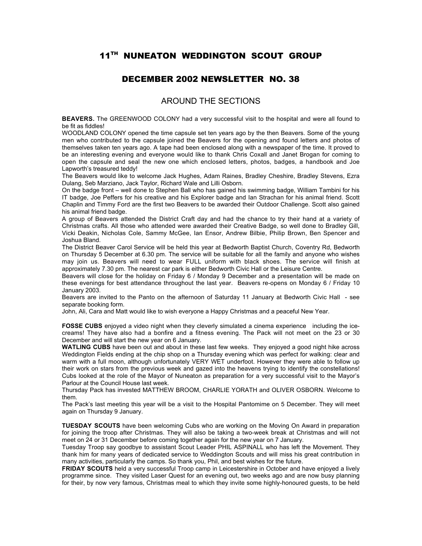## 11TH NUNEATON WEDDINGTON SCOUT GROUP

## DECEMBER 2002 NEWSLETTER NO. 38

### AROUND THE SECTIONS

**BEAVERS.** The GREENWOOD COLONY had a very successful visit to the hospital and were all found to be fit as fiddles!

WOODLAND COLONY opened the time capsule set ten years ago by the then Beavers. Some of the young men who contributed to the capsule joined the Beavers for the opening and found letters and photos of themselves taken ten years ago. A tape had been enclosed along with a newspaper of the time. It proved to be an interesting evening and everyone would like to thank Chris Coxall and Janet Brogan for coming to open the capsule and seal the new one which enclosed letters, photos, badges, a handbook and Joe Lapworth's treasured teddy!

The Beavers would like to welcome Jack Hughes, Adam Raines, Bradley Cheshire, Bradley Stevens, Ezra Dulang, Seb Marziano, Jack Taylor, Richard Wale and Lilli Osborn.

On the badge front – well done to Stephen Ball who has gained his swimming badge, William Tambini for his IT badge, Joe Peffers for his creative and his Explorer badge and Ian Strachan for his animal friend. Scott Chaplin and Timmy Ford are the first two Beavers to be awarded their Outdoor Challenge. Scott also gained his animal friend badge.

A group of Beavers attended the District Craft day and had the chance to try their hand at a variety of Christmas crafts. All those who attended were awarded their Creative Badge, so well done to Bradley Gill, Vicki Deakin, Nicholas Cole, Sammy McGee, Ian Ensor, Andrew Bilbie, Philip Brown, Ben Spencer and Joshua Bland.

The District Beaver Carol Service will be held this year at Bedworth Baptist Church, Coventry Rd, Bedworth on Thursday 5 December at 6.30 pm. The service will be suitable for all the family and anyone who wishes may join us. Beavers will need to wear FULL uniform with black shoes. The service will finish at approximately 7.30 pm. The nearest car park is either Bedworth Civic Hall or the Leisure Centre.

Beavers will close for the holiday on Friday 6 / Monday 9 December and a presentation will be made on these evenings for best attendance throughout the last year. Beavers re-opens on Monday 6 / Friday 10 January 2003.

Beavers are invited to the Panto on the afternoon of Saturday 11 January at Bedworth Civic Hall - see separate booking form.

John, Ali, Cara and Matt would like to wish everyone a Happy Christmas and a peaceful New Year.

**FOSSE CUBS** enjoyed a video night when they cleverly simulated a cinema experience including the icecreams! They have also had a bonfire and a fitness evening. The Pack will not meet on the 23 or 30 December and will start the new year on 6 January.

**WATLING CUBS** have been out and about in these last few weeks. They enjoyed a good night hike across Weddington Fields ending at the chip shop on a Thursday evening which was perfect for walking: clear and warm with a full moon, although unfortunately VERY WET underfoot. However they were able to follow up their work on stars from the previous week and gazed into the heavens trying to identify the constellations! Cubs looked at the role of the Mayor of Nuneaton as preparation for a very successful visit to the Mayor's Parlour at the Council House last week.

Thursday Pack has invested MATTHEW BROOM, CHARLIE YORATH and OLIVER OSBORN. Welcome to them.

The Pack's last meeting this year will be a visit to the Hospital Pantomime on 5 December. They will meet again on Thursday 9 January.

**TUESDAY SCOUTS** have been welcoming Cubs who are working on the Moving On Award in preparation for joining the troop after Christmas. They will also be taking a two-week break at Christmas and will not meet on 24 or 31 December before coming together again for the new year on 7 January.

Tuesday Troop say goodbye to assistant Scout Leader PHIL ASPINALL who has left the Movement. They thank him for many years of dedicated service to Weddington Scouts and will miss his great contribution in many activities, particularly the camps. So thank you, Phil, and best wishes for the future.

**FRIDAY SCOUTS** held a very successful Troop camp in Leicestershire in October and have enjoyed a lively programme since. They visited Laser Quest for an evening out, two weeks ago and are now busy planning for their, by now very famous, Christmas meal to which they invite some highly-honoured guests, to be held